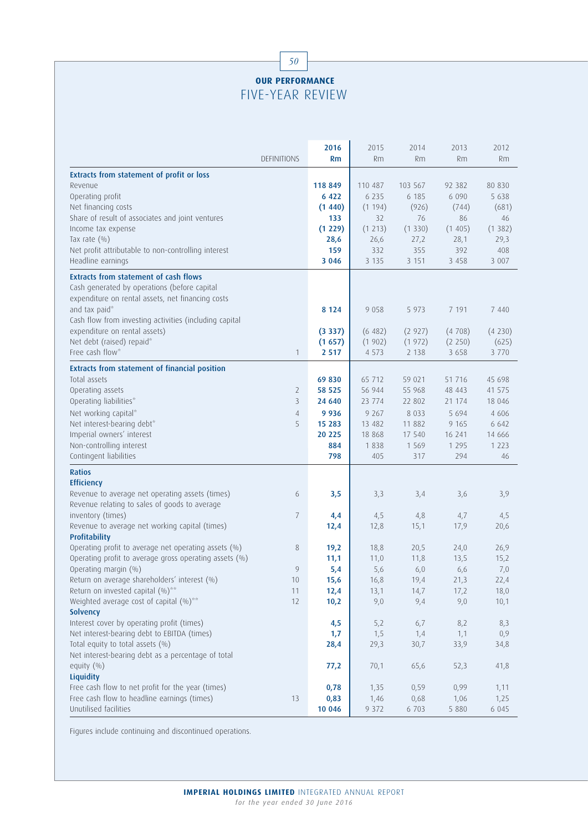## 50 **OUR PERFORMANCE** FIVE-YEAR REVIEW

| <b>DEFINITIONS</b>                                                                                    | 2016<br>Rm       | 2015<br>Rm | 2014<br>Rm       | 2013<br>Rm       | 2012<br><b>Rm</b> |
|-------------------------------------------------------------------------------------------------------|------------------|------------|------------------|------------------|-------------------|
|                                                                                                       |                  |            |                  |                  |                   |
| <b>Extracts from statement of profit or loss</b><br>Revenue                                           | 118 849          | 110 487    | 103 567          | 92 382           | 80 830            |
| Operating profit                                                                                      | 6 4 2 2          | 6 2 3 5    | 6 185            | 6 0 9 0          | 5 6 3 8           |
| Net financing costs                                                                                   | (1440)           | (1194)     | (926)            | (744)            | (681)             |
| Share of result of associates and joint ventures                                                      | 133              | 32         | 76               | 86               | 46                |
| Income tax expense                                                                                    | (1 229)          | (1 213)    | (1330)           | (1405)           | (1382)            |
| Tax rate $(\% )$                                                                                      | 28,6             | 26,6       | 27,2             | 28,1             | 29,3              |
| Net profit attributable to non-controlling interest                                                   | 159              | 332        | 355              | 392              | 408               |
| Headline earnings                                                                                     | 3 0 4 6          | 3 1 3 5    | 3 1 5 1          | 3 4 5 8          | 3 0 0 7           |
| <b>Extracts from statement of cash flows</b>                                                          |                  |            |                  |                  |                   |
| Cash generated by operations (before capital                                                          |                  |            |                  |                  |                   |
| expenditure on rental assets, net financing costs                                                     |                  |            |                  |                  |                   |
| and tax paid*                                                                                         | 8 1 2 4          | 9 0 5 8    | 5 9 7 3          | 7 191            | 7 4 4 0           |
| Cash flow from investing activities (including capital                                                |                  |            |                  |                  |                   |
| expenditure on rental assets)                                                                         | (3337)           | (6482)     | (2927)           | (4708)           | (4230)            |
| Net debt (raised) repaid*                                                                             | (1657)           | (1902)     | (1972)           | (2 250)          | (625)             |
| Free cash flow*<br>$\mathbf{1}$                                                                       | 2 5 1 7          | 4 5 7 3    | 2 1 3 8          | 3 6 5 8          | 3 7 7 0           |
|                                                                                                       |                  |            |                  |                  |                   |
| <b>Extracts from statement of financial position</b><br>Total assets                                  |                  | 65 712     | 59 021           | 51 7 16          |                   |
|                                                                                                       | 69830            | 56 944     |                  |                  | 45 698            |
| Operating assets<br>2<br>Operating liabilities*<br>3                                                  | 58 525<br>24 640 | 23 774     | 55 968<br>22 802 | 48 443<br>21 174 | 41 575<br>18 046  |
|                                                                                                       |                  |            |                  |                  |                   |
| Net working capital*<br>4                                                                             | 9936             | 9 2 6 7    | 8 0 3 3          | 5 6 9 4          | 4 60 6            |
| Net interest-bearing debt*<br>5                                                                       | 15 283           | 13 482     | 11 882           | 9 1 6 5          | 6 6 4 2           |
| Imperial owners' interest                                                                             | 20 225           | 18 868     | 17 540           | 16 241           | 14 6 6 6          |
| Non-controlling interest                                                                              | 884              | 1838       | 1 5 6 9          | 1 2 9 5          | 1 2 2 3           |
| Contingent liabilities                                                                                | 798              | 405        | 317              | 294              | 46                |
| <b>Ratios</b>                                                                                         |                  |            |                  |                  |                   |
| <b>Efficiency</b>                                                                                     |                  |            |                  |                  |                   |
| Revenue to average net operating assets (times)<br>6<br>Revenue relating to sales of goods to average | 3,5              | 3,3        | 3,4              | 3,6              | 3,9               |
| inventory (times)<br>7                                                                                | 4,4              | 4,5        | 4,8              | 4,7              | 4,5               |
| Revenue to average net working capital (times)                                                        | 12,4             | 12,8       | 15,1             | 17,9             | 20,6              |
| Profitability                                                                                         |                  |            |                  |                  |                   |
| Operating profit to average net operating assets (%)<br>8                                             | 19,2             | 18,8       | 20,5             | 24,0             | 26,9              |
| Operating profit to average gross operating assets (%)                                                | 11,1             | 11,0       | 11,8             | 13,5             | 15,2              |
| Operating margin (%)<br>9                                                                             | 5,4              | 5,6        | 6,0              | 6,6              | 7,0               |
| Return on average shareholders' interest (%)<br>10                                                    | 15,6             | 16,8       | 19,4             | 21,3             | 22,4              |
| Return on invested capital (%)**<br>11                                                                | 12,4             | 13,1       | 14,7             | 17,2             | 18,0              |
| Weighted average cost of capital (%)**<br>12                                                          | 10,2             | 9,0        | 9,4              | 9,0              | 10,1              |
| Solvency                                                                                              |                  |            |                  |                  |                   |
| Interest cover by operating profit (times)                                                            | 4,5              | 5,2        | 6,7              | 8,2              | 8,3               |
| Net interest-bearing debt to EBITDA (times)                                                           | 1,7              | 1,5        | 1,4              | 1,1              | 0,9               |
| Total equity to total assets (%)                                                                      | 28,4             | 29,3       | 30,7             | 33,9             | 34,8              |
| Net interest-bearing debt as a percentage of total                                                    |                  |            |                  |                  |                   |
| equity $(\%)$                                                                                         | 77,2             | 70,1       | 65,6             | 52,3             | 41,8              |
| Liquidity                                                                                             |                  |            |                  |                  |                   |
| Free cash flow to net profit for the year (times)                                                     | 0,78             | 1,35       | 0,59             | 0,99             | 1,11              |
| Free cash flow to headline earnings (times)<br>13                                                     | 0,83             | 1,46       | 0,68             | 1,06             | 1,25              |
| Unutilised facilities                                                                                 | 10 046           | 9 3 7 2    | 6 703            | 5 8 8 0          | 6 0 4 5           |

Figures include continuing and discontinued operations.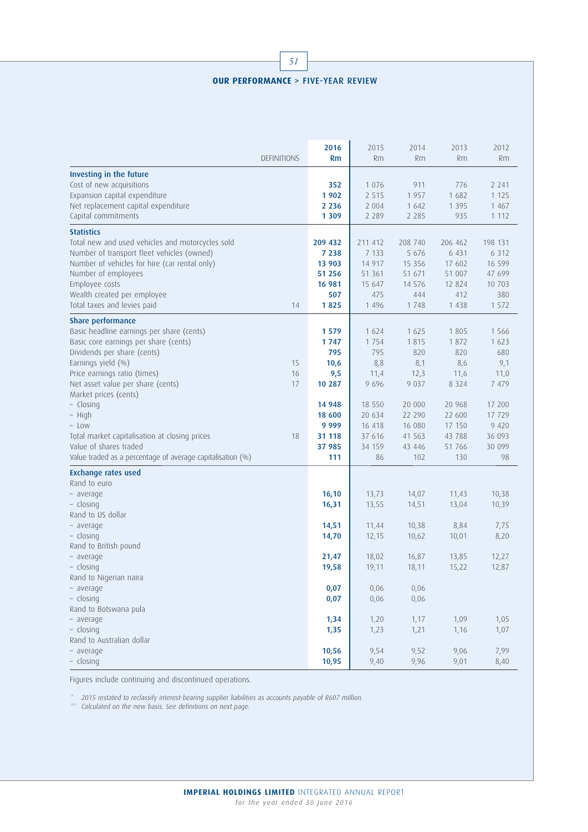## **OUR PERFORMANCE** > FIVE-YEAR REVIEW

|                                                                               | 2016    | 2015            | 2014            | 2013            | 2012          |
|-------------------------------------------------------------------------------|---------|-----------------|-----------------|-----------------|---------------|
| <b>DEFINITIONS</b>                                                            | Rm      | Rm              | Rm              | Rm              | Rm            |
| Investing in the future                                                       |         |                 |                 |                 |               |
| Cost of new acquisitions                                                      | 352     | 1 0 7 6         | 911             | 776             | 2 2 4 1       |
| Expansion capital expenditure                                                 | 1902    | 2 5 1 5         | 1957            | 1 682           | 1 1 2 5       |
| Net replacement capital expenditure                                           | 2 2 3 6 | 2 0 0 4         | 1 642           | 1 3 9 5         | 1 4 6 7       |
| Capital commitments                                                           | 1 3 0 9 | 2 2 8 9         | 2 2 8 5         | 935             | 1 1 1 2       |
| <b>Statistics</b>                                                             |         |                 |                 |                 |               |
| Total new and used vehicles and motorcycles sold                              | 209 432 | 211 412         | 208 740         | 206 462         | 198 131       |
| Number of transport fleet vehicles (owned)                                    | 7 2 3 8 | 7 1 3 3         | 5 676           | 6 4 3 1         | 6 3 1 2       |
| Number of vehicles for hire (car rental only)                                 | 13 903  | 14 9 17         | 15 3 5 6        | 17 602          | 16 599        |
| Number of employees                                                           | 51 256  | 51 361          | 51 671          | 51 007          | 47 699        |
| Employee costs                                                                | 16 981  | 15 647          | 14 576          | 12 8 24         | 10 703        |
| Wealth created per employee                                                   | 507     | 475             | 444             | 412             | 380           |
| Total taxes and levies paid<br>14                                             | 1825    | 1 4 9 6         | 1748            | 1 4 3 8         | 1 572         |
| Share performance                                                             |         |                 |                 |                 |               |
| Basic headline earnings per share (cents)                                     | 1579    | 1 624           | 1 625           | 1 8 0 5         | 1 5 6 6       |
| Basic core earnings per share (cents)                                         | 1747    | 1 7 5 4         | 1815            | 1872            | 1 623         |
| Dividends per share (cents)                                                   | 795     | 795             | 820             | 820             | 680           |
| Earnings yield (%)<br>15                                                      |         |                 |                 | 8,6             |               |
|                                                                               | 10,6    | 8,8             | 8,1             |                 | 9,1           |
| Price earnings ratio (times)<br>16<br>Net asset value per share (cents)<br>17 | 9,5     | 11,4<br>9 6 9 6 | 12,3<br>9 0 3 7 | 11,6<br>8 3 2 4 | 11,0<br>7 479 |
| Market prices (cents)                                                         | 10 287  |                 |                 |                 |               |
| - Closing                                                                     | 14 948  | 18 550          | 20 000          | 20 968          | 17 200        |
| - High                                                                        | 18 600  | 20 634          | 22 290          | 22 600          | 17 729        |
| - Low                                                                         | 9 9 9 9 | 16 418          | 16 080          | 17 150          | 9 4 2 0       |
| Total market capitalisation at closing prices<br>18                           | 31 118  | 37 616          | 41 563          | 43 788          | 36 093        |
| Value of shares traded                                                        | 37 985  | 34 159          | 43 446          | 51 766          | 30 099        |
| Value traded as a percentage of average capitalisation (%)                    | 111     | 86              | 102             | 130             | 98            |
|                                                                               |         |                 |                 |                 |               |
| <b>Exchange rates used</b>                                                    |         |                 |                 |                 |               |
| Rand to euro                                                                  |         |                 |                 |                 |               |
| - average                                                                     | 16, 10  | 13,73           | 14,07           | 11,43           | 10,38         |
| - closing<br>Rand to US dollar                                                | 16,31   | 13,55           | 14,51           | 13,04           | 10,39         |
|                                                                               |         |                 |                 |                 |               |
| - average<br>- closing                                                        | 14,51   | 11,44           | 10,38           | 8,84            | 7,75<br>8,20  |
| Rand to British pound                                                         | 14,70   | 12,15           | 10,62           | 10,01           |               |
|                                                                               |         |                 |                 |                 |               |
| - average                                                                     | 21,47   | 18,02           | 16,87           | 13,85           | 12,27         |
| - closing                                                                     | 19,58   | 19,11           | 18,11           | 15,22           | 12,87         |
| Rand to Nigerian naira                                                        |         |                 |                 |                 |               |
| - average                                                                     | 0,07    | 0,06            | 0,06            |                 |               |
| - closing                                                                     | 0,07    | 0,06            | 0,06            |                 |               |
| Rand to Botswana pula                                                         |         |                 |                 |                 |               |
| - average                                                                     | 1,34    | 1,20            | 1,17            | 1,09            | 1,05          |
| - closing                                                                     | 1,35    | 1,23            | 1,21            | 1,16            | 1,07          |
| Rand to Australian dollar                                                     |         |                 |                 |                 |               |
| - average                                                                     | 10,56   | 9,54            | 9,52            | 9,06            | 7,99          |
| - closing                                                                     | 10,95   | 9,40            | 9,96            | 9,01            | 8,40          |

Figures include continuing and discontinued operations.

\* 2015 restated to reclassify interest-bearing supplier liabilities as accounts payable of R607 million.

\*\* Calculated on the new basis. See definitions on next page.

**IMPERIAL HOLDINGS LIMITED** INTEGRATED ANNUAL REPORT *for the year ended 30 June 2016*